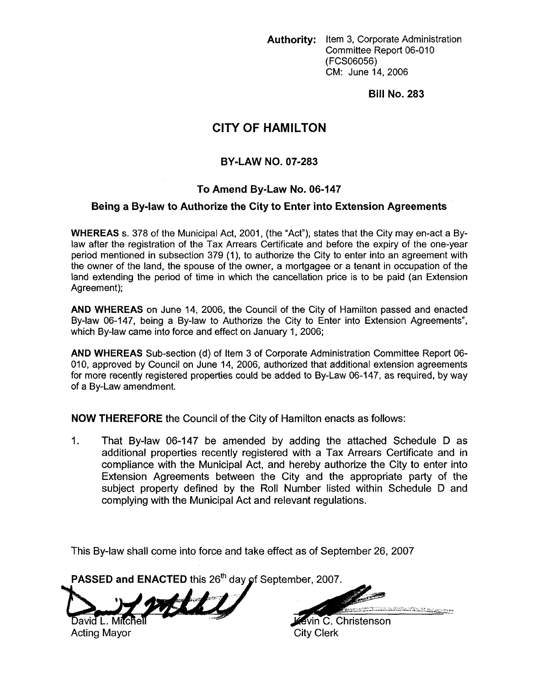**Authority:** Item 3, Corporate Administration Committee Report 06-010 (FCSO6056) CM: June 14,2006

**Bill No. 283** 

# **CITY OF HAMILTON**

# **BY-LAW NO. 07-283**

# **To Amend By-Law No. 06-147**

### **Being a By-law to Authorize the City to Enter into Extension Agreements**

**WHEREAS s.** 378 of the Municipal Act, 2001, (the "Act"), states that the City may en-act a Bylaw after the registration of the Tax Arrears Certificate and before the expiry of the one-year period mentioned in subsection 379 (1), to authorize the City to enter into an agreement with the owner of the land, the spouse of the owner, a mortgagee or a tenant in occupation of the land extending the period of time in which the cancellation price is to be paid (an Extension Agreement);

**AND WHEREAS** on June 14, 2006, the Council of the City of Hamilton passed and enacted By-law 06-147, being a By-law to Authorize the City to Enter into Extension Agreements", which By-law came into force and effect on January 1, 2006;

**AND WHEREAS** Sub-section (d) of Item 3 of Corporate Administration Committee Report 06- 010, approved by Council on June 14, 2006, authorized that additional extension agreements for more recently registered properties could be added to By-Law 06-147, as required, by way of a By-Law amendment.

**NOW THEREFORE** the Council of the City of Hamilton enacts as follows:

1. That By-law 06-147 be amended by adding the attached Schedule D as additional properties recently registered with a Tax Arrears Certificate and in compliance with the Municipal Act, and hereby authorize the City to enter into Extension Agreements between the City and the appropriate party of the subject property defined by the Roll Number listed within Schedule D and complying with the Municipal Act and relevant regulations.

This By-law shall come into force and take effect **as** of September 26, 2007

PASSED and ENACTED this 26<sup>th</sup> day of September, 2007.

mille avid L. Mitch

Acting Mayor City Clerk

*<sup>7</sup>b 13.-* \_\_

Kevin C. Christenson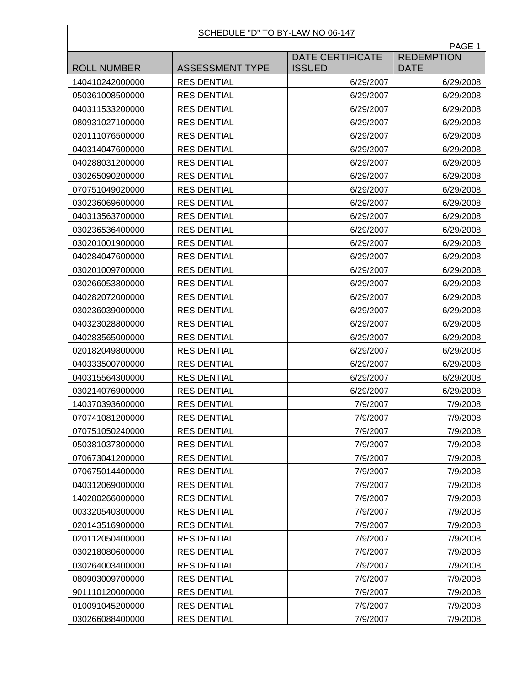#### SCHEDULE "D" TO BY-LAW NO 06-147

|                    |                        |                                          | PAGE 1                           |
|--------------------|------------------------|------------------------------------------|----------------------------------|
| <b>ROLL NUMBER</b> | <b>ASSESSMENT TYPE</b> | <b>DATE CERTIFICATE</b><br><b>ISSUED</b> | <b>REDEMPTION</b><br><b>DATE</b> |
| 140410242000000    | <b>RESIDENTIAL</b>     | 6/29/2007                                | 6/29/2008                        |
| 050361008500000    | <b>RESIDENTIAL</b>     | 6/29/2007                                | 6/29/2008                        |
| 040311533200000    | <b>RESIDENTIAL</b>     | 6/29/2007                                | 6/29/2008                        |
| 080931027100000    | <b>RESIDENTIAL</b>     | 6/29/2007                                | 6/29/2008                        |
| 020111076500000    | <b>RESIDENTIAL</b>     | 6/29/2007                                | 6/29/2008                        |
| 040314047600000    | <b>RESIDENTIAL</b>     | 6/29/2007                                | 6/29/2008                        |
| 040288031200000    | <b>RESIDENTIAL</b>     | 6/29/2007                                | 6/29/2008                        |
| 030265090200000    | <b>RESIDENTIAL</b>     | 6/29/2007                                | 6/29/2008                        |
| 070751049020000    | <b>RESIDENTIAL</b>     | 6/29/2007                                | 6/29/2008                        |
| 030236069600000    | <b>RESIDENTIAL</b>     | 6/29/2007                                | 6/29/2008                        |
| 040313563700000    | <b>RESIDENTIAL</b>     | 6/29/2007                                | 6/29/2008                        |
| 030236536400000    | <b>RESIDENTIAL</b>     | 6/29/2007                                | 6/29/2008                        |
| 030201001900000    | <b>RESIDENTIAL</b>     | 6/29/2007                                | 6/29/2008                        |
| 040284047600000    | <b>RESIDENTIAL</b>     | 6/29/2007                                | 6/29/2008                        |
| 030201009700000    | <b>RESIDENTIAL</b>     | 6/29/2007                                | 6/29/2008                        |
| 030266053800000    | <b>RESIDENTIAL</b>     | 6/29/2007                                | 6/29/2008                        |
| 040282072000000    | <b>RESIDENTIAL</b>     | 6/29/2007                                | 6/29/2008                        |
| 030236039000000    | <b>RESIDENTIAL</b>     | 6/29/2007                                | 6/29/2008                        |
| 040323028800000    | <b>RESIDENTIAL</b>     | 6/29/2007                                | 6/29/2008                        |
| 040283565000000    | <b>RESIDENTIAL</b>     | 6/29/2007                                | 6/29/2008                        |
| 020182049800000    | <b>RESIDENTIAL</b>     | 6/29/2007                                | 6/29/2008                        |
| 040333500700000    | <b>RESIDENTIAL</b>     | 6/29/2007                                | 6/29/2008                        |
| 040315564300000    | <b>RESIDENTIAL</b>     | 6/29/2007                                | 6/29/2008                        |
| 030214076900000    | <b>RESIDENTIAL</b>     | 6/29/2007                                | 6/29/2008                        |
| 140370393600000    | <b>RESIDENTIAL</b>     | 7/9/2007                                 | 7/9/2008                         |
| 070741081200000    | <b>RESIDENTIAL</b>     | 7/9/2007                                 | 7/9/2008                         |
| 070751050240000    | <b>RESIDENTIAL</b>     | 7/9/2007                                 | 7/9/2008                         |
| 050381037300000    | <b>RESIDENTIAL</b>     | 7/9/2007                                 | 7/9/2008                         |
| 070673041200000    | <b>RESIDENTIAL</b>     | 7/9/2007                                 | 7/9/2008                         |
| 070675014400000    | <b>RESIDENTIAL</b>     | 7/9/2007                                 | 7/9/2008                         |
| 040312069000000    | <b>RESIDENTIAL</b>     | 7/9/2007                                 | 7/9/2008                         |
| 140280266000000    | <b>RESIDENTIAL</b>     | 7/9/2007                                 | 7/9/2008                         |
| 003320540300000    | <b>RESIDENTIAL</b>     | 7/9/2007                                 | 7/9/2008                         |
| 020143516900000    | <b>RESIDENTIAL</b>     | 7/9/2007                                 | 7/9/2008                         |
| 020112050400000    | <b>RESIDENTIAL</b>     | 7/9/2007                                 | 7/9/2008                         |
| 030218080600000    | <b>RESIDENTIAL</b>     | 7/9/2007                                 | 7/9/2008                         |
| 030264003400000    | <b>RESIDENTIAL</b>     | 7/9/2007                                 | 7/9/2008                         |
| 080903009700000    | <b>RESIDENTIAL</b>     | 7/9/2007                                 | 7/9/2008                         |
| 901110120000000    | <b>RESIDENTIAL</b>     | 7/9/2007                                 | 7/9/2008                         |
| 010091045200000    | <b>RESIDENTIAL</b>     | 7/9/2007                                 | 7/9/2008                         |
| 030266088400000    | <b>RESIDENTIAL</b>     | 7/9/2007                                 | 7/9/2008                         |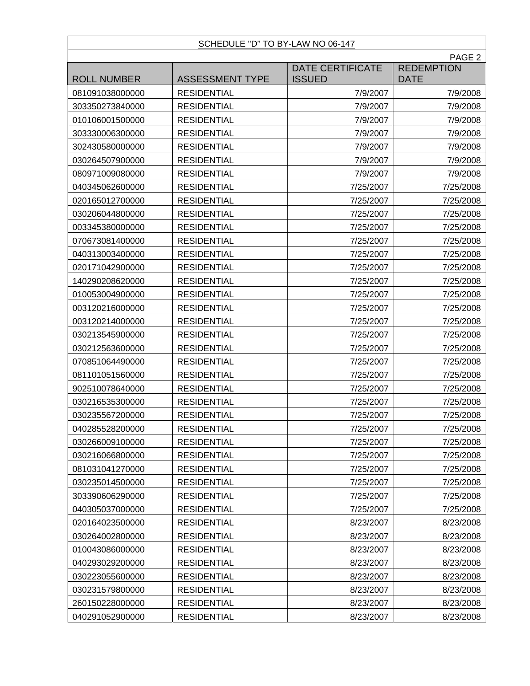# SCHEDULE "D" TO BY-LAW NO 06-147

|                    | PAGE <sub>2</sub>      |                                          |                                  |
|--------------------|------------------------|------------------------------------------|----------------------------------|
| <b>ROLL NUMBER</b> | <b>ASSESSMENT TYPE</b> | <b>DATE CERTIFICATE</b><br><b>ISSUED</b> | <b>REDEMPTION</b><br><b>DATE</b> |
| 081091038000000    | <b>RESIDENTIAL</b>     | 7/9/2007                                 | 7/9/2008                         |
| 303350273840000    | <b>RESIDENTIAL</b>     | 7/9/2007                                 | 7/9/2008                         |
| 010106001500000    | <b>RESIDENTIAL</b>     | 7/9/2007                                 | 7/9/2008                         |
| 303330006300000    | <b>RESIDENTIAL</b>     | 7/9/2007                                 | 7/9/2008                         |
| 302430580000000    | <b>RESIDENTIAL</b>     | 7/9/2007                                 | 7/9/2008                         |
| 030264507900000    | <b>RESIDENTIAL</b>     | 7/9/2007                                 | 7/9/2008                         |
| 080971009080000    | <b>RESIDENTIAL</b>     | 7/9/2007                                 | 7/9/2008                         |
| 040345062600000    | <b>RESIDENTIAL</b>     | 7/25/2007                                | 7/25/2008                        |
| 020165012700000    | <b>RESIDENTIAL</b>     | 7/25/2007                                | 7/25/2008                        |
| 030206044800000    | <b>RESIDENTIAL</b>     | 7/25/2007                                | 7/25/2008                        |
| 003345380000000    | <b>RESIDENTIAL</b>     | 7/25/2007                                | 7/25/2008                        |
| 070673081400000    | <b>RESIDENTIAL</b>     | 7/25/2007                                | 7/25/2008                        |
| 040313003400000    | <b>RESIDENTIAL</b>     | 7/25/2007                                | 7/25/2008                        |
| 020171042900000    | <b>RESIDENTIAL</b>     | 7/25/2007                                | 7/25/2008                        |
| 140290208620000    | <b>RESIDENTIAL</b>     | 7/25/2007                                | 7/25/2008                        |
| 010053004900000    | <b>RESIDENTIAL</b>     | 7/25/2007                                | 7/25/2008                        |
| 003120216000000    | <b>RESIDENTIAL</b>     | 7/25/2007                                | 7/25/2008                        |
| 003120214000000    | <b>RESIDENTIAL</b>     | 7/25/2007                                | 7/25/2008                        |
| 030213545900000    | <b>RESIDENTIAL</b>     | 7/25/2007                                | 7/25/2008                        |
| 030212563600000    | <b>RESIDENTIAL</b>     | 7/25/2007                                | 7/25/2008                        |
| 070851064490000    | <b>RESIDENTIAL</b>     | 7/25/2007                                | 7/25/2008                        |
| 081101051560000    | <b>RESIDENTIAL</b>     | 7/25/2007                                | 7/25/2008                        |
| 902510078640000    | <b>RESIDENTIAL</b>     | 7/25/2007                                | 7/25/2008                        |
| 030216535300000    | <b>RESIDENTIAL</b>     | 7/25/2007                                | 7/25/2008                        |
| 030235567200000    | <b>RESIDENTIAL</b>     | 7/25/2007                                | 7/25/2008                        |
| 040285528200000    | <b>RESIDENTIAL</b>     | 7/25/2007                                | 7/25/2008                        |
| 030266009100000    | <b>RESIDENTIAL</b>     | 7/25/2007                                | 7/25/2008                        |
| 030216066800000    | <b>RESIDENTIAL</b>     | 7/25/2007                                | 7/25/2008                        |
| 081031041270000    | <b>RESIDENTIAL</b>     | 7/25/2007                                | 7/25/2008                        |
| 030235014500000    | <b>RESIDENTIAL</b>     | 7/25/2007                                | 7/25/2008                        |
| 303390606290000    | <b>RESIDENTIAL</b>     | 7/25/2007                                | 7/25/2008                        |
| 040305037000000    | <b>RESIDENTIAL</b>     | 7/25/2007                                | 7/25/2008                        |
| 020164023500000    | <b>RESIDENTIAL</b>     | 8/23/2007                                | 8/23/2008                        |
| 030264002800000    | <b>RESIDENTIAL</b>     | 8/23/2007                                | 8/23/2008                        |
| 010043086000000    | <b>RESIDENTIAL</b>     | 8/23/2007                                | 8/23/2008                        |
| 040293029200000    | <b>RESIDENTIAL</b>     | 8/23/2007                                | 8/23/2008                        |
| 030223055600000    | <b>RESIDENTIAL</b>     | 8/23/2007                                | 8/23/2008                        |
| 030231579800000    | <b>RESIDENTIAL</b>     | 8/23/2007                                | 8/23/2008                        |
| 260150228000000    | <b>RESIDENTIAL</b>     | 8/23/2007                                | 8/23/2008                        |
| 040291052900000    | <b>RESIDENTIAL</b>     | 8/23/2007                                | 8/23/2008                        |